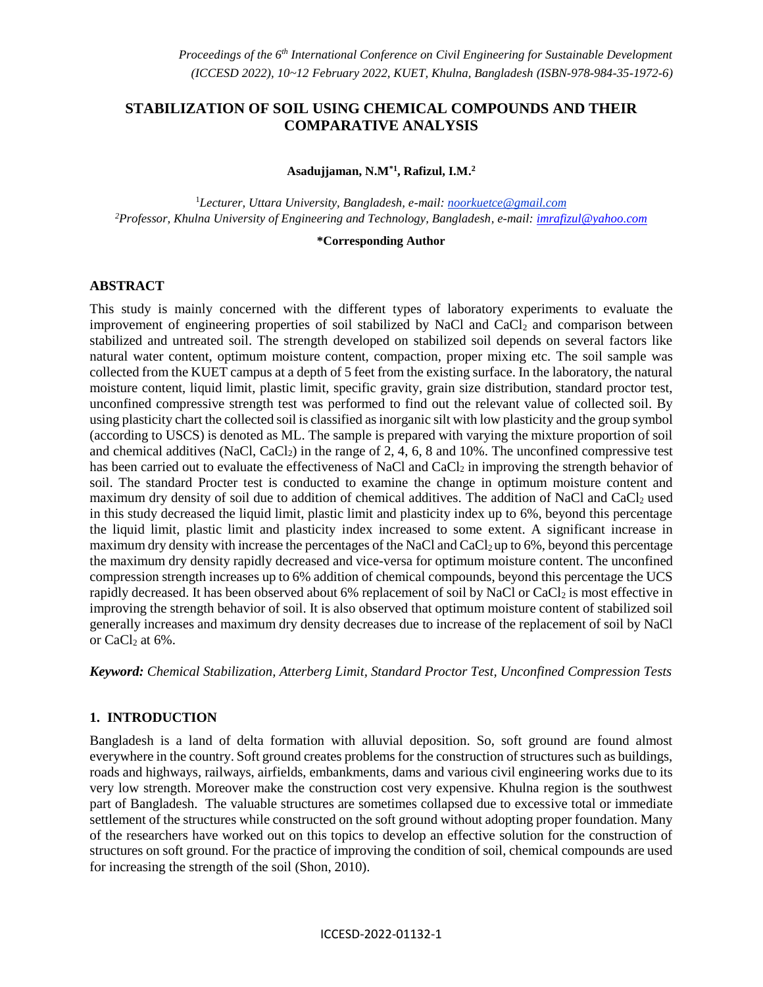# **STABILIZATION OF SOIL USING CHEMICAL COMPOUNDS AND THEIR COMPARATIVE ANALYSIS**

**Asadujjaman, N.M\*1, Rafizul, I.M.<sup>2</sup>**

<sup>1</sup>*Lecturer, Uttara University, Bangladesh, e-mail: noorkuetce@gmail.com <sup>2</sup>Professor, Khulna University of Engineering and Technology, Bangladesh, e-mail[: imrafizul@yahoo.com](mailto:imrafizul@yahoo.com)*

#### **\*Corresponding Author**

#### **ABSTRACT**

This study is mainly concerned with the different types of laboratory experiments to evaluate the improvement of engineering properties of soil stabilized by NaCl and  $CaCl<sub>2</sub>$  and comparison between stabilized and untreated soil. The strength developed on stabilized soil depends on several factors like natural water content, optimum moisture content, compaction, proper mixing etc. The soil sample was collected from the KUET campus at a depth of 5 feet from the existing surface. In the laboratory, the natural moisture content, liquid limit, plastic limit, specific gravity, grain size distribution, standard proctor test, unconfined compressive strength test was performed to find out the relevant value of collected soil. By using plasticity chart the collected soil is classified as inorganic silt with low plasticity and the group symbol (according to USCS) is denoted as ML. The sample is prepared with varying the mixture proportion of soil and chemical additives (NaCl, CaCl<sub>2</sub>) in the range of 2, 4, 6, 8 and 10%. The unconfined compressive test has been carried out to evaluate the effectiveness of NaCl and CaCl<sub>2</sub> in improving the strength behavior of soil. The standard Procter test is conducted to examine the change in optimum moisture content and maximum dry density of soil due to addition of chemical additives. The addition of NaCl and  $CaCl<sub>2</sub>$  used in this study decreased the liquid limit, plastic limit and plasticity index up to 6%, beyond this percentage the liquid limit, plastic limit and plasticity index increased to some extent. A significant increase in maximum dry density with increase the percentages of the NaCl and CaCl<sub>2</sub> up to 6%, beyond this percentage the maximum dry density rapidly decreased and vice-versa for optimum moisture content. The unconfined compression strength increases up to 6% addition of chemical compounds, beyond this percentage the UCS rapidly decreased. It has been observed about 6% replacement of soil by NaCl or CaCl<sub>2</sub> is most effective in improving the strength behavior of soil. It is also observed that optimum moisture content of stabilized soil generally increases and maximum dry density decreases due to increase of the replacement of soil by NaCl or CaCl $_2$  at 6%.

*Keyword: Chemical Stabilization, Atterberg Limit, Standard Proctor Test, Unconfined Compression Tests*

### **1. INTRODUCTION**

Bangladesh is a land of delta formation with alluvial deposition. So, soft ground are found almost everywhere in the country. Soft ground creates problems for the construction of structures such as buildings, roads and highways, railways, airfields, embankments, dams and various civil engineering works due to its very low strength. Moreover make the construction cost very expensive. Khulna region is the southwest part of Bangladesh. The valuable structures are sometimes collapsed due to excessive total or immediate settlement of the structures while constructed on the soft ground without adopting proper foundation. Many of the researchers have worked out on this topics to develop an effective solution for the construction of structures on soft ground. For the practice of improving the condition of soil, chemical compounds are used for increasing the strength of the soil (Shon, 2010).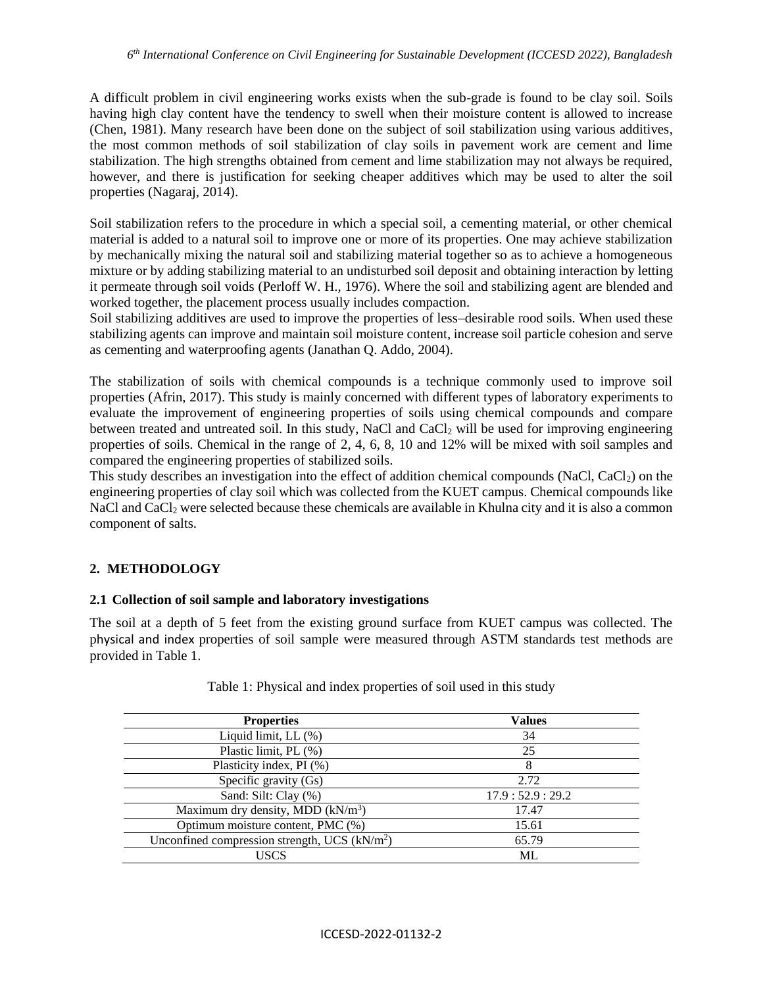### *6 th International Conference on Civil Engineering for Sustainable Development (ICCESD 2022), Bangladesh*

A difficult problem in civil engineering works exists when the sub-grade is found to be clay soil. Soils having high clay content have the tendency to swell when their moisture content is allowed to increase (Chen, 1981). Many research have been done on the subject of soil stabilization using various additives, the most common methods of soil stabilization of clay soils in pavement work are cement and lime stabilization. The high strengths obtained from cement and lime stabilization may not always be required, however, and there is justification for seeking cheaper additives which may be used to alter the soil properties (Nagaraj, 2014).

Soil stabilization refers to the procedure in which a special soil, a cementing material, or other chemical material is added to a natural soil to improve one or more of its properties. One may achieve stabilization by mechanically mixing the natural soil and stabilizing material together so as to achieve a homogeneous mixture or by adding stabilizing material to an undisturbed soil deposit and obtaining interaction by letting it permeate through soil voids (Perloff W. H., 1976). Where the soil and stabilizing agent are blended and worked together, the placement process usually includes compaction.

Soil stabilizing additives are used to improve the properties of less–desirable rood soils. When used these stabilizing agents can improve and maintain soil moisture content, increase soil particle cohesion and serve as cementing and waterproofing agents (Janathan Q. Addo, 2004).

The stabilization of soils with chemical compounds is a technique commonly used to improve soil properties (Afrin, 2017). This study is mainly concerned with different types of laboratory experiments to evaluate the improvement of engineering properties of soils using chemical compounds and compare between treated and untreated soil. In this study, NaCl and CaCl<sub>2</sub> will be used for improving engineering properties of soils. Chemical in the range of 2, 4, 6, 8, 10 and 12% will be mixed with soil samples and compared the engineering properties of stabilized soils.

This study describes an investigation into the effect of addition chemical compounds (NaCl, CaCl<sub>2</sub>) on the engineering properties of clay soil which was collected from the KUET campus. Chemical compounds like NaCl and CaCl<sub>2</sub> were selected because these chemicals are available in Khulna city and it is also a common component of salts.

# **2. METHODOLOGY**

### **2.1 Collection of soil sample and laboratory investigations**

The soil at a depth of 5 feet from the existing ground surface from KUET campus was collected. The physical and index properties of soil sample were measured through ASTM standards test methods are provided in Table 1.

| <b>Properties</b>                              | <b>Values</b>  |
|------------------------------------------------|----------------|
| Liquid limit, $LL$ $(\%)$                      | 34             |
| Plastic limit, PL (%)                          | 25             |
| Plasticity index, PI (%)                       | 8              |
| Specific gravity (Gs)                          | 2.72           |
| Sand: Silt: Clay (%)                           | 17.9:52.9:29.2 |
| Maximum dry density, MDD $(kN/m3)$             | 17.47          |
| Optimum moisture content, PMC (%)              | 15.61          |
| Unconfined compression strength, UCS $(kN/m2)$ | 65.79          |
| USCS                                           | ML             |

Table 1: Physical and index properties of soil used in this study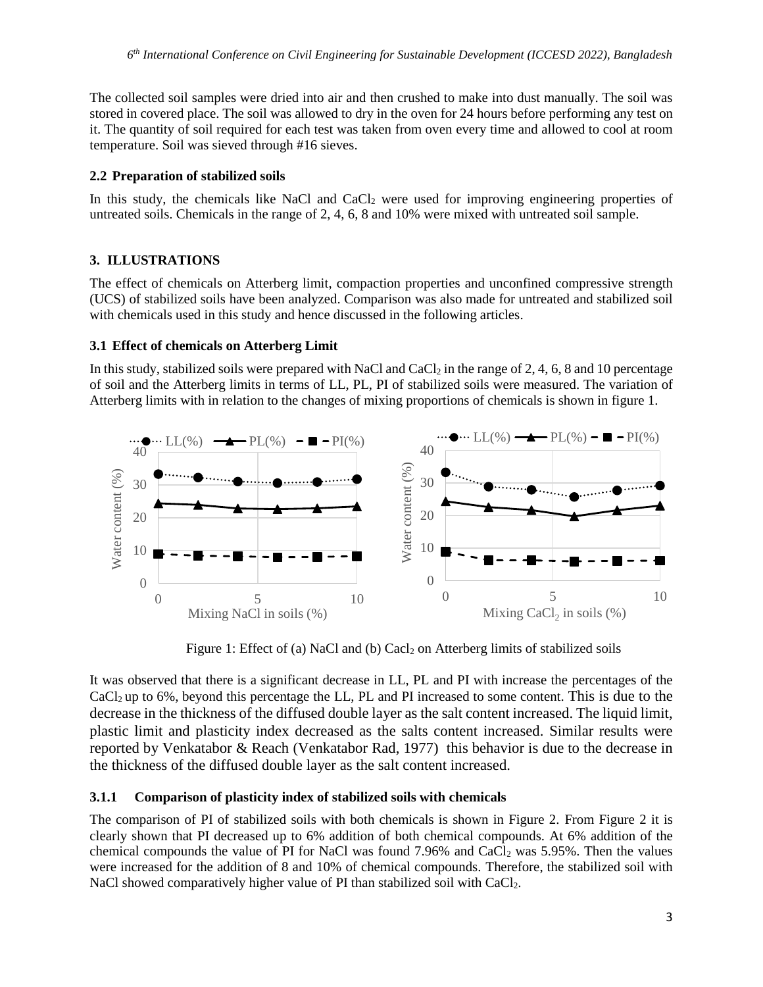The collected soil samples were dried into air and then crushed to make into dust manually. The soil was stored in covered place. The soil was allowed to dry in the oven for 24 hours before performing any test on it. The quantity of soil required for each test was taken from oven every time and allowed to cool at room temperature. Soil was sieved through #16 sieves.

# **2.2 Preparation of stabilized soils**

In this study, the chemicals like NaCl and CaCl<sub>2</sub> were used for improving engineering properties of untreated soils. Chemicals in the range of 2, 4, 6, 8 and 10% were mixed with untreated soil sample.

# **3. ILLUSTRATIONS**

The effect of chemicals on Atterberg limit, compaction properties and unconfined compressive strength (UCS) of stabilized soils have been analyzed. Comparison was also made for untreated and stabilized soil with chemicals used in this study and hence discussed in the following articles.

# **3.1 Effect of chemicals on Atterberg Limit**

In this study, stabilized soils were prepared with NaCl and CaCl<sub>2</sub> in the range of 2, 4, 6, 8 and 10 percentage of soil and the Atterberg limits in terms of LL, PL, PI of stabilized soils were measured. The variation of Atterberg limits with in relation to the changes of mixing proportions of chemicals is shown in figure 1.



Figure 1: Effect of (a) NaCl and (b) Cacl<sub>2</sub> on Atterberg limits of stabilized soils

It was observed that there is a significant decrease in LL, PL and PI with increase the percentages of the CaCl2 up to 6%, beyond this percentage the LL, PL and PI increased to some content. This is due to the decrease in the thickness of the diffused double layer as the salt content increased. The liquid limit, plastic limit and plasticity index decreased as the salts content increased. Similar results were reported by Venkatabor & Reach (Venkatabor Rad, 1977) this behavior is due to the decrease in the thickness of the diffused double layer as the salt content increased.

# **3.1.1 Comparison of plasticity index of stabilized soils with chemicals**

The comparison of PI of stabilized soils with both chemicals is shown in Figure 2. From Figure 2 it is clearly shown that PI decreased up to 6% addition of both chemical compounds. At 6% addition of the chemical compounds the value of PI for NaCl was found  $7.96\%$  and CaCl<sub>2</sub> was  $5.95\%$ . Then the values were increased for the addition of 8 and 10% of chemical compounds. Therefore, the stabilized soil with NaCl showed comparatively higher value of PI than stabilized soil with CaCl<sub>2</sub>.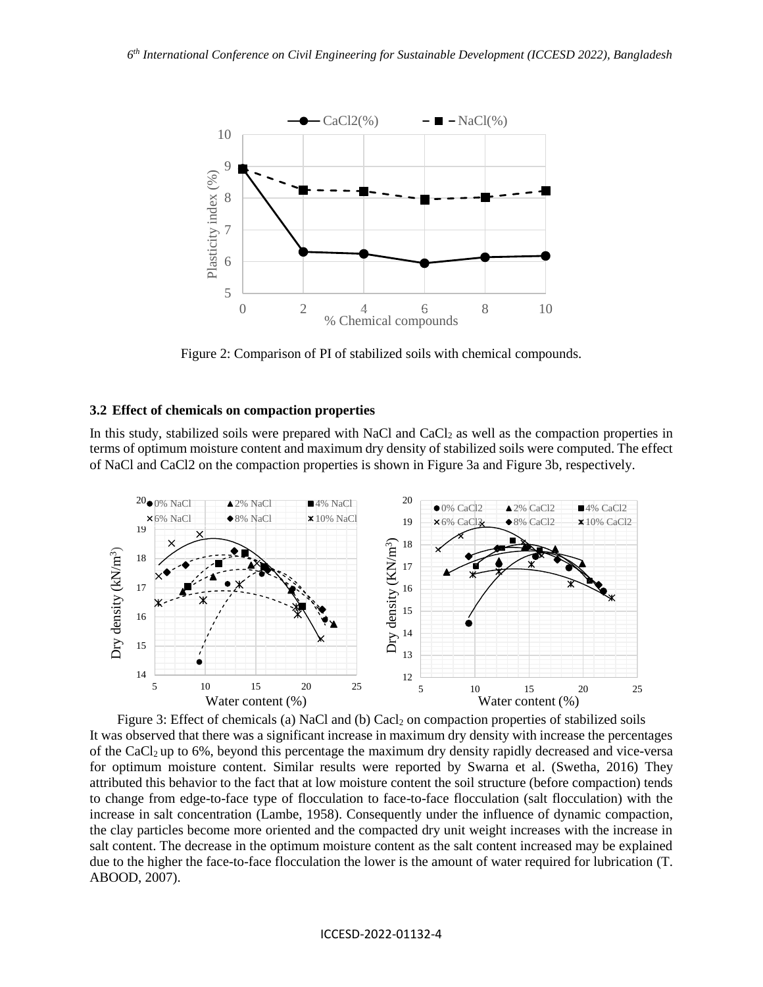

Figure 2: Comparison of PI of stabilized soils with chemical compounds.

#### **3.2 Effect of chemicals on compaction properties**

In this study, stabilized soils were prepared with NaCl and CaCl<sub>2</sub> as well as the compaction properties in terms of optimum moisture content and maximum dry density of stabilized soils were computed. The effect of NaCl and CaCl2 on the compaction properties is shown in Figure 3a and Figure 3b, respectively.



Figure 3: Effect of chemicals (a) NaCl and (b) Cacl<sub>2</sub> on compaction properties of stabilized soils It was observed that there was a significant increase in maximum dry density with increase the percentages of the CaCl2 up to 6%, beyond this percentage the maximum dry density rapidly decreased and vice-versa for optimum moisture content. Similar results were reported by Swarna et al. (Swetha, 2016) They attributed this behavior to the fact that at low moisture content the soil structure (before compaction) tends to change from edge-to-face type of flocculation to face-to-face flocculation (salt flocculation) with the increase in salt concentration (Lambe, 1958). Consequently under the influence of dynamic compaction, the clay particles become more oriented and the compacted dry unit weight increases with the increase in salt content. The decrease in the optimum moisture content as the salt content increased may be explained due to the higher the face-to-face flocculation the lower is the amount of water required for lubrication (T. ABOOD, 2007).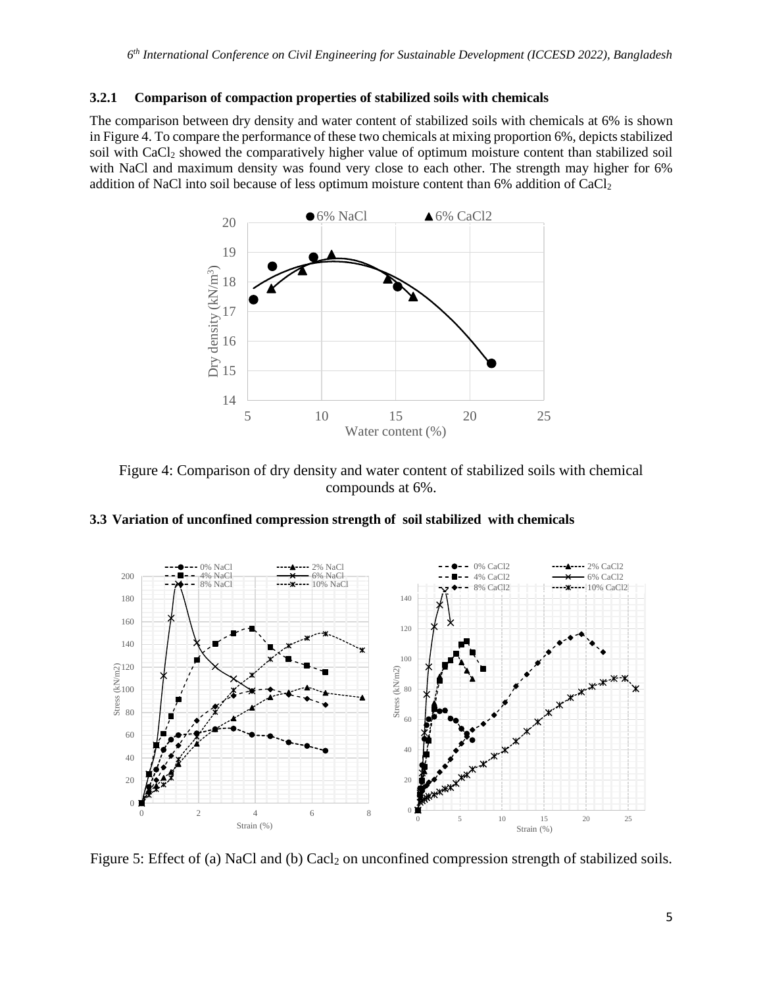### **3.2.1 Comparison of compaction properties of stabilized soils with chemicals**

The comparison between dry density and water content of stabilized soils with chemicals at 6% is shown in Figure 4. To compare the performance of these two chemicals at mixing proportion 6%, depicts stabilized soil with CaCl<sub>2</sub> showed the comparatively higher value of optimum moisture content than stabilized soil with NaCl and maximum density was found very close to each other. The strength may higher for 6% addition of NaCl into soil because of less optimum moisture content than 6% addition of CaCl<sub>2</sub>



Figure 4: Comparison of dry density and water content of stabilized soils with chemical compounds at 6%.

# **3.3 Variation of unconfined compression strength of soil stabilized with chemicals**



Figure 5: Effect of (a) NaCl and (b) Cacl<sub>2</sub> on unconfined compression strength of stabilized soils.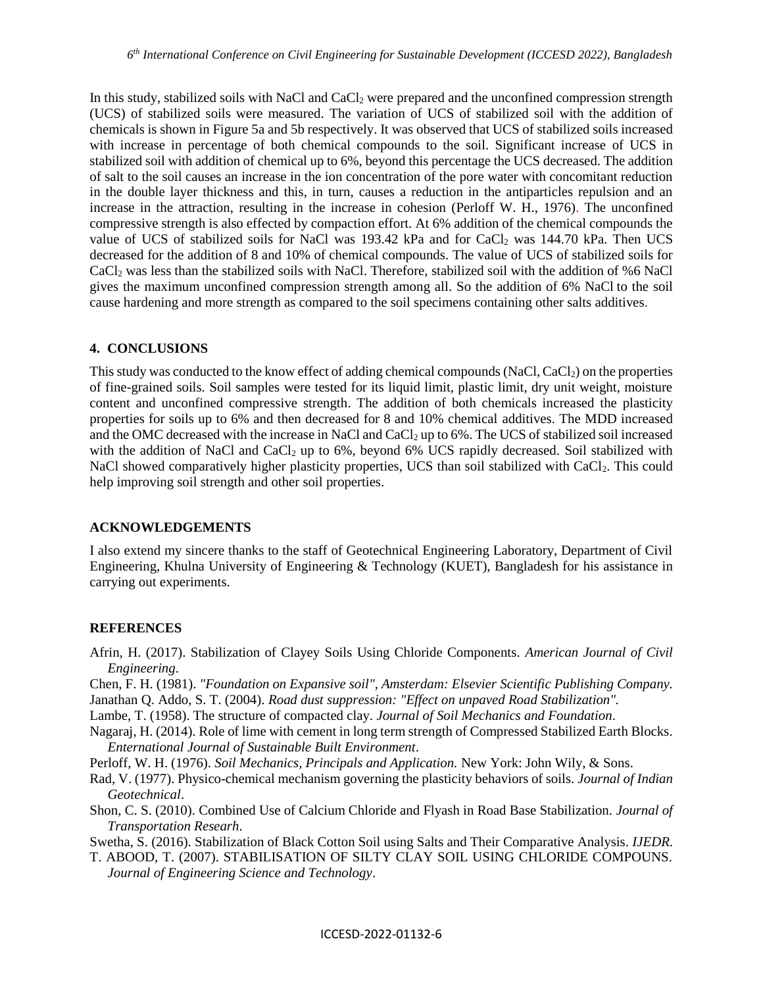In this study, stabilized soils with NaCl and CaCl<sub>2</sub> were prepared and the unconfined compression strength (UCS) of stabilized soils were measured. The variation of UCS of stabilized soil with the addition of chemicals is shown in Figure 5a and 5b respectively. It was observed that UCS of stabilized soils increased with increase in percentage of both chemical compounds to the soil. Significant increase of UCS in stabilized soil with addition of chemical up to 6%, beyond this percentage the UCS decreased. The addition of salt to the soil causes an increase in the ion concentration of the pore water with concomitant reduction in the double layer thickness and this, in turn, causes a reduction in the antiparticles repulsion and an increase in the attraction, resulting in the increase in cohesion (Perloff W. H., 1976). The unconfined compressive strength is also effected by compaction effort. At 6% addition of the chemical compounds the value of UCS of stabilized soils for NaCl was  $193.42$  kPa and for CaCl<sub>2</sub> was  $144.70$  kPa. Then UCS decreased for the addition of 8 and 10% of chemical compounds. The value of UCS of stabilized soils for CaCl<sup>2</sup> was less than the stabilized soils with NaCl. Therefore, stabilized soil with the addition of %6 NaCl gives the maximum unconfined compression strength among all. So the addition of 6% NaCl to the soil cause hardening and more strength as compared to the soil specimens containing other salts additives.

# **4. CONCLUSIONS**

This study was conducted to the know effect of adding chemical compounds (NaCl, CaCl<sub>2</sub>) on the properties of fine-grained soils. Soil samples were tested for its liquid limit, plastic limit, dry unit weight, moisture content and unconfined compressive strength. The addition of both chemicals increased the plasticity properties for soils up to 6% and then decreased for 8 and 10% chemical additives. The MDD increased and the OMC decreased with the increase in NaCl and CaCl<sub>2</sub> up to 6%. The UCS of stabilized soil increased with the addition of NaCl and CaCl<sub>2</sub> up to 6%, beyond 6% UCS rapidly decreased. Soil stabilized with NaCl showed comparatively higher plasticity properties, UCS than soil stabilized with CaCl<sub>2</sub>. This could help improving soil strength and other soil properties.

# **ACKNOWLEDGEMENTS**

I also extend my sincere thanks to the staff of Geotechnical Engineering Laboratory, Department of Civil Engineering, Khulna University of Engineering & Technology (KUET), Bangladesh for his assistance in carrying out experiments.

### **REFERENCES**

Afrin, H. (2017). Stabilization of Clayey Soils Using Chloride Components. *American Journal of Civil Engineering*.

Chen, F. H. (1981). *"Foundation on Expansive soil", Amsterdam: Elsevier Scientific Publishing Company.* Janathan Q. Addo, S. T. (2004). *Road dust suppression: "Effect on unpaved Road Stabilization".*

Lambe, T. (1958). The structure of compacted clay. *Journal of Soil Mechanics and Foundation*.

Nagaraj, H. (2014). Role of lime with cement in long term strength of Compressed Stabilized Earth Blocks. *Enternational Journal of Sustainable Built Environment*.

Perloff, W. H. (1976). *Soil Mechanics, Principals and Application.* New York: John Wily, & Sons.

Rad, V. (1977). Physico-chemical mechanism governing the plasticity behaviors of soils. *Journal of Indian Geotechnical*.

Shon, C. S. (2010). Combined Use of Calcium Chloride and Flyash in Road Base Stabilization. *Journal of Transportation Researh*.

Swetha, S. (2016). Stabilization of Black Cotton Soil using Salts and Their Comparative Analysis. *IJEDR*.

T. ABOOD, T. (2007). STABILISATION OF SILTY CLAY SOIL USING CHLORIDE COMPOUNS. *Journal of Engineering Science and Technology*.